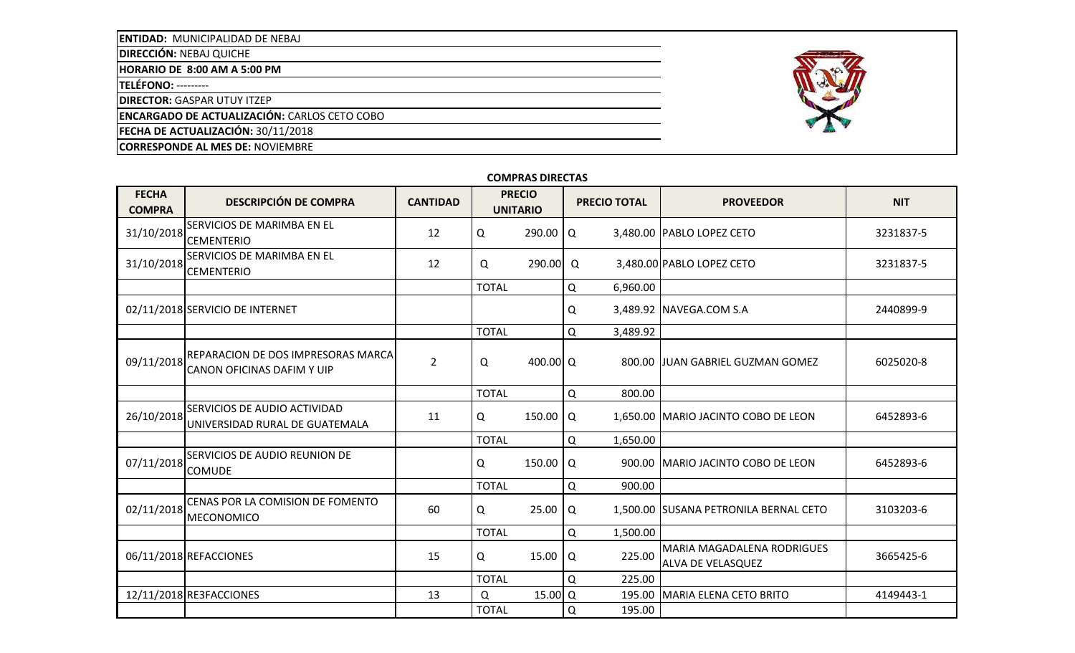**ENTIDAD:** MUNICIPALIDAD DE NEBAJ

**DIRECCIÓN:** NEBAJ QUICHE

**HORARIO DE 8:00 AM A 5:00 PM**

**TELÉFONO:** ---------

**DIRECTOR:** GASPAR UTUY ITZEP

**ENCARGADO DE ACTUALIZACIÓN:** CARLOS CETO COBO

**FECHA DE ACTUALIZACIÓN:** 30/11/2018

**CORRESPONDE AL MES DE:** NOVIEMBRE



| <b>COMPRAS DIRECTAS</b> |  |
|-------------------------|--|
|-------------------------|--|

| <b>FECHA</b><br><b>COMPRA</b> | <b>DESCRIPCIÓN DE COMPRA</b>                                            | <b>CANTIDAD</b> |              | <b>PRECIO</b><br><b>UNITARIO</b> |          | <b>PRECIO TOTAL</b> | <b>PROVEEDOR</b>                                              | <b>NIT</b> |
|-------------------------------|-------------------------------------------------------------------------|-----------------|--------------|----------------------------------|----------|---------------------|---------------------------------------------------------------|------------|
| 31/10/2018                    | SERVICIOS DE MARIMBA EN EL<br><b>CEMENTERIO</b>                         | 12              | Q            | 290.00                           | Q        |                     | 3,480.00 PABLO LOPEZ CETO                                     | 3231837-5  |
| 31/10/2018                    | SERVICIOS DE MARIMBA EN EL<br><b>CEMENTERIO</b>                         | 12              | Q            | $290.00$ Q                       |          |                     | 3,480.00 PABLO LOPEZ CETO                                     | 3231837-5  |
|                               |                                                                         |                 | <b>TOTAL</b> |                                  | Q        | 6,960.00            |                                                               |            |
|                               | 02/11/2018 SERVICIO DE INTERNET                                         |                 |              |                                  | Q        |                     | 3,489.92 NAVEGA.COM S.A                                       | 2440899-9  |
|                               |                                                                         |                 | <b>TOTAL</b> |                                  | Q        | 3,489.92            |                                                               |            |
| 09/11/2018                    | REPARACION DE DOS IMPRESORAS MARCA<br><b>CANON OFICINAS DAFIM Y UIP</b> | $\overline{2}$  | Q            | 400.00 Q                         |          |                     | 800.00 JJUAN GABRIEL GUZMAN GOMEZ                             | 6025020-8  |
|                               |                                                                         |                 | <b>TOTAL</b> |                                  | Q        | 800.00              |                                                               |            |
| 26/10/2018                    | SERVICIOS DE AUDIO ACTIVIDAD<br>UNIVERSIDAD RURAL DE GUATEMALA          | 11              | Q            | 150.00                           | Q        |                     | 1,650.00 MARIO JACINTO COBO DE LEON                           | 6452893-6  |
|                               |                                                                         |                 | <b>TOTAL</b> |                                  | Q        | 1,650.00            |                                                               |            |
| 07/11/2018                    | SERVICIOS DE AUDIO REUNION DE<br><b>COMUDE</b>                          |                 | Q            | 150.00                           | Q        |                     | 900.00 MARIO JACINTO COBO DE LEON                             | 6452893-6  |
|                               |                                                                         |                 | <b>TOTAL</b> |                                  | Q        | 900.00              |                                                               |            |
| 02/11/2018                    | CENAS POR LA COMISION DE FOMENTO<br><b>MECONOMICO</b>                   | 60              | Q            | 25.00                            | Q        |                     | 1,500.00 SUSANA PETRONILA BERNAL CETO                         | 3103203-6  |
|                               |                                                                         |                 | <b>TOTAL</b> |                                  | Q        | 1,500.00            |                                                               |            |
|                               | 06/11/2018 REFACCIONES                                                  | 15              | Q            | 15.00                            | Q        | 225.00              | <b>MARIA MAGADALENA RODRIGUES</b><br><b>ALVA DE VELASQUEZ</b> | 3665425-6  |
|                               |                                                                         |                 | <b>TOTAL</b> |                                  | $\Omega$ | 225.00              |                                                               |            |
|                               | 12/11/2018 RE3FACCIONES                                                 | 13              | Q            | $15.00$ <sup>O</sup>             |          | 195.00              | MARIA ELENA CETO BRITO                                        | 4149443-1  |
|                               |                                                                         |                 | <b>TOTAL</b> |                                  | Q        | 195.00              |                                                               |            |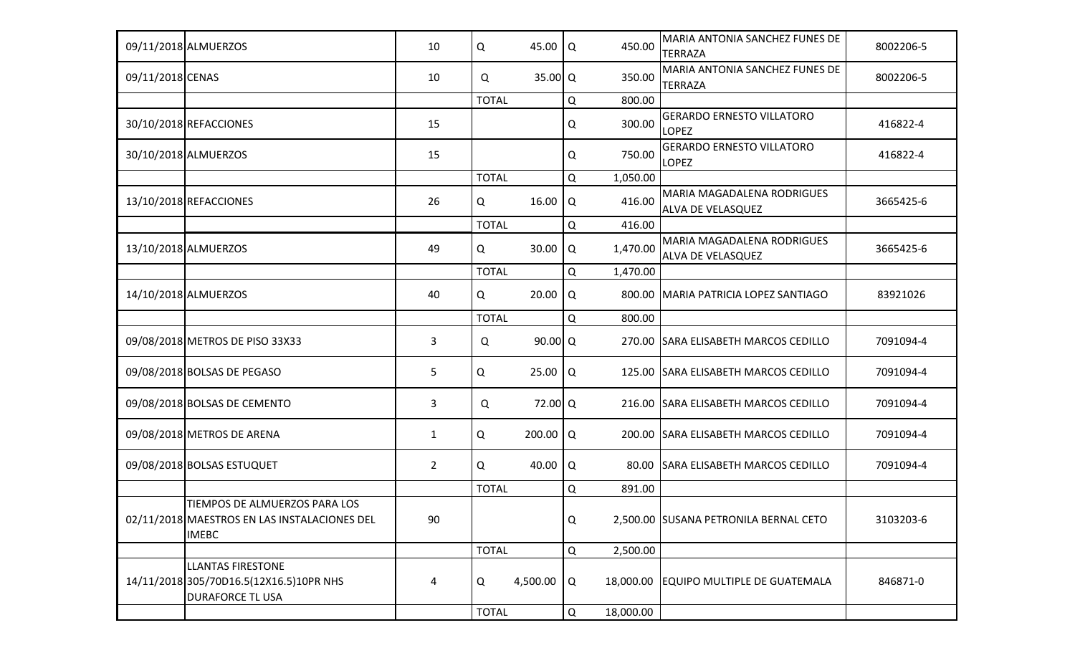|                  | 09/11/2018 ALMUERZOS                                                                           | 10             | Q            | 45.00      | Q           | 450.00    | MARIA ANTONIA SANCHEZ FUNES DE<br><b>TERRAZA</b>              | 8002206-5 |
|------------------|------------------------------------------------------------------------------------------------|----------------|--------------|------------|-------------|-----------|---------------------------------------------------------------|-----------|
| 09/11/2018 CENAS |                                                                                                | 10             | Q            | 35.00   Q  |             | 350.00    | MARIA ANTONIA SANCHEZ FUNES DE<br><b>TERRAZA</b>              | 8002206-5 |
|                  |                                                                                                |                | <b>TOTAL</b> |            | Q           | 800.00    |                                                               |           |
|                  | 30/10/2018 REFACCIONES                                                                         | 15             |              |            | Q           | 300.00    | <b>GERARDO ERNESTO VILLATORO</b><br><b>LOPEZ</b>              | 416822-4  |
|                  | 30/10/2018 ALMUERZOS                                                                           | 15             |              |            | Q           | 750.00    | <b>GERARDO ERNESTO VILLATORO</b><br><b>LOPEZ</b>              | 416822-4  |
|                  |                                                                                                |                | <b>TOTAL</b> |            | Q           | 1,050.00  |                                                               |           |
|                  | 13/10/2018 REFACCIONES                                                                         | 26             | Q            | 16.00      | Q           | 416.00    | <b>MARIA MAGADALENA RODRIGUES</b><br><b>ALVA DE VELASQUEZ</b> | 3665425-6 |
|                  |                                                                                                |                | <b>TOTAL</b> |            | Q           | 416.00    |                                                               |           |
|                  | 13/10/2018 ALMUERZOS                                                                           | 49             | Q            | 30.00      | Q           | 1,470.00  | MARIA MAGADALENA RODRIGUES<br><b>ALVA DE VELASQUEZ</b>        | 3665425-6 |
|                  |                                                                                                |                | <b>TOTAL</b> |            | Q           | 1,470.00  |                                                               |           |
|                  | 14/10/2018 ALMUERZOS                                                                           | 40             | Q            | 20.00      | Q           |           | 800.00 MARIA PATRICIA LOPEZ SANTIAGO                          | 83921026  |
|                  |                                                                                                |                | <b>TOTAL</b> |            | Q           | 800.00    |                                                               |           |
|                  | 09/08/2018 METROS DE PISO 33X33                                                                | 3              | Q            | 90.00   Q  |             |           | 270.00 SARA ELISABETH MARCOS CEDILLO                          | 7091094-4 |
|                  | 09/08/2018 BOLSAS DE PEGASO                                                                    | 5              | Q            | 25.00      | Q           |           | 125.00 SARA ELISABETH MARCOS CEDILLO                          | 7091094-4 |
|                  | 09/08/2018 BOLSAS DE CEMENTO                                                                   | 3              | Q            | 72.00 Q    |             |           | 216.00 SARA ELISABETH MARCOS CEDILLO                          | 7091094-4 |
|                  | 09/08/2018 METROS DE ARENA                                                                     | $\mathbf{1}$   | Q            | 200.00   Q |             |           | 200.00 SARA ELISABETH MARCOS CEDILLO                          | 7091094-4 |
|                  | 09/08/2018 BOLSAS ESTUQUET                                                                     | $\overline{2}$ | Q            | 40.00      | Q           | 80.00     | SARA ELISABETH MARCOS CEDILLO                                 | 7091094-4 |
|                  |                                                                                                |                | <b>TOTAL</b> |            | Q           | 891.00    |                                                               |           |
|                  | TIEMPOS DE ALMUERZOS PARA LOS<br>02/11/2018 MAESTROS EN LAS INSTALACIONES DEL<br><b>IMEBC</b>  | 90             |              |            | Q           |           | 2,500.00 SUSANA PETRONILA BERNAL CETO                         | 3103203-6 |
|                  |                                                                                                |                | <b>TOTAL</b> |            | Q           | 2,500.00  |                                                               |           |
|                  | <b>LLANTAS FIRESTONE</b><br>14/11/2018 305/70D16.5(12X16.5)10PR NHS<br><b>DURAFORCE TL USA</b> | 4              | Q            | 4,500.00   | Q           |           | 18,000.00 EQUIPO MULTIPLE DE GUATEMALA                        | 846871-0  |
|                  |                                                                                                |                | <b>TOTAL</b> |            | $\mathsf Q$ | 18,000.00 |                                                               |           |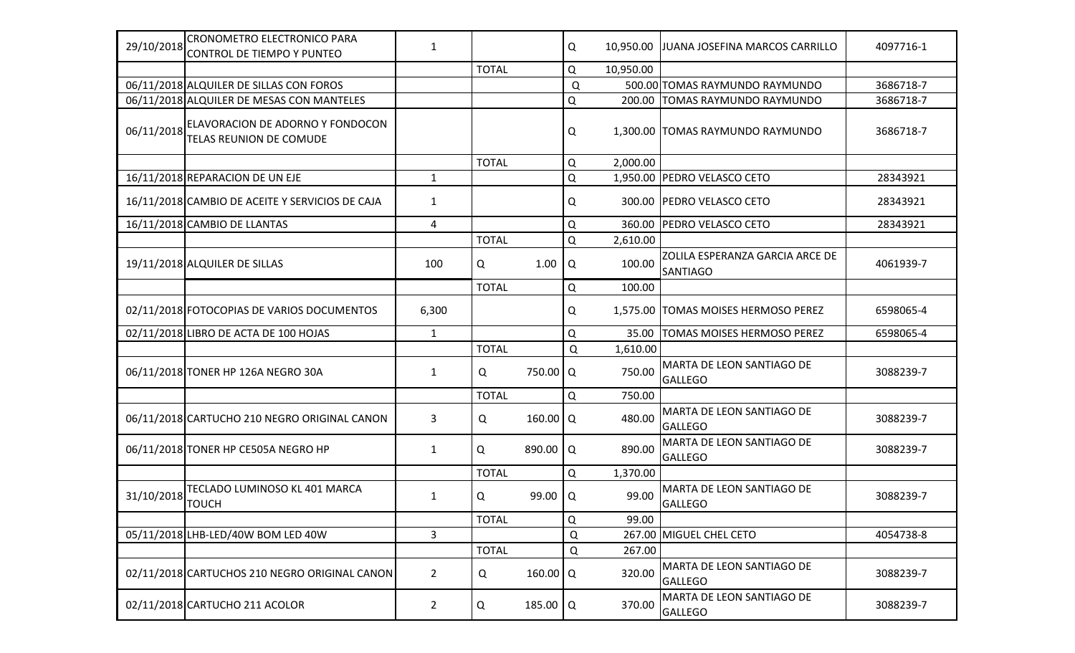| 29/10/2018 | CRONOMETRO ELECTRONICO PARA<br>CONTROL DE TIEMPO Y PUNTEO          | $\mathbf{1}$   |              |                   | Q | 10,950.00 | JUANA JOSEFINA MARCOS CARRILLO                     | 4097716-1 |
|------------|--------------------------------------------------------------------|----------------|--------------|-------------------|---|-----------|----------------------------------------------------|-----------|
|            |                                                                    |                | <b>TOTAL</b> |                   | Q | 10,950.00 |                                                    |           |
|            | 06/11/2018 ALQUILER DE SILLAS CON FOROS                            |                |              |                   | Q |           | 500.00 TOMAS RAYMUNDO RAYMUNDO                     | 3686718-7 |
|            | 06/11/2018 ALQUILER DE MESAS CON MANTELES                          |                |              |                   | Q |           | 200.00 TOMAS RAYMUNDO RAYMUNDO                     | 3686718-7 |
| 06/11/2018 | ELAVORACION DE ADORNO Y FONDOCON<br><b>TELAS REUNION DE COMUDE</b> |                |              |                   | Q |           | 1,300.00 TOMAS RAYMUNDO RAYMUNDO                   | 3686718-7 |
|            |                                                                    |                | <b>TOTAL</b> |                   | Q | 2,000.00  |                                                    |           |
|            | 16/11/2018 REPARACION DE UN EJE                                    | $\mathbf{1}$   |              |                   | Q |           | 1,950.00 PEDRO VELASCO CETO                        | 28343921  |
|            | 16/11/2018 CAMBIO DE ACEITE Y SERVICIOS DE CAJA                    | 1              |              |                   | Q |           | 300.00 PEDRO VELASCO CETO                          | 28343921  |
|            | 16/11/2018 CAMBIO DE LLANTAS                                       | 4              |              |                   | Q | 360.00    | <b>PEDRO VELASCO CETO</b>                          | 28343921  |
|            |                                                                    |                | <b>TOTAL</b> |                   | Q | 2,610.00  |                                                    |           |
|            | 19/11/2018 ALQUILER DE SILLAS                                      | 100            | Q            | 1.00              | Q | 100.00    | ZOLILA ESPERANZA GARCIA ARCE DE<br><b>SANTIAGO</b> | 4061939-7 |
|            |                                                                    |                | <b>TOTAL</b> |                   | Q | 100.00    |                                                    |           |
|            | 02/11/2018 FOTOCOPIAS DE VARIOS DOCUMENTOS                         | 6,300          |              |                   | Q |           | 1,575.00 TOMAS MOISES HERMOSO PEREZ                | 6598065-4 |
|            | 02/11/2018 LIBRO DE ACTA DE 100 HOJAS                              | $\mathbf{1}$   |              |                   | Q | 35.00     | <b>TOMAS MOISES HERMOSO PEREZ</b>                  | 6598065-4 |
|            |                                                                    |                | <b>TOTAL</b> |                   | Q | 1,610.00  |                                                    |           |
|            | 06/11/2018 TONER HP 126A NEGRO 30A                                 | $\mathbf{1}$   | Q            | 750.00 Q          |   | 750.00    | MARTA DE LEON SANTIAGO DE<br><b>GALLEGO</b>        | 3088239-7 |
|            |                                                                    |                | <b>TOTAL</b> |                   | Q | 750.00    |                                                    |           |
|            | 06/11/2018 CARTUCHO 210 NEGRO ORIGINAL CANON                       | 3              | Q            | 160.00   Q        |   | 480.00    | MARTA DE LEON SANTIAGO DE<br><b>GALLEGO</b>        | 3088239-7 |
|            | 06/11/2018 TONER HP CE505A NEGRO HP                                | 1              | Q            | 890.00 $\sqrt{Q}$ |   | 890.00    | MARTA DE LEON SANTIAGO DE<br><b>GALLEGO</b>        | 3088239-7 |
|            |                                                                    |                | <b>TOTAL</b> |                   | Q | 1,370.00  |                                                    |           |
| 31/10/2018 | TECLADO LUMINOSO KL 401 MARCA<br><b>TOUCH</b>                      | 1              | Q            | 99.00             | Q | 99.00     | MARTA DE LEON SANTIAGO DE<br><b>GALLEGO</b>        | 3088239-7 |
|            |                                                                    |                | <b>TOTAL</b> |                   | Q | 99.00     |                                                    |           |
|            | 05/11/2018 LHB-LED/40W BOM LED 40W                                 | $\overline{3}$ |              |                   | Q |           | 267.00 MIGUEL CHEL CETO                            | 4054738-8 |
|            |                                                                    |                | <b>TOTAL</b> |                   | Q | 267.00    |                                                    |           |
|            | 02/11/2018 CARTUCHOS 210 NEGRO ORIGINAL CANON                      | $\overline{2}$ | Q            | 160.00   Q        |   | 320.00    | MARTA DE LEON SANTIAGO DE<br>GALLEGO               | 3088239-7 |
|            | 02/11/2018 CARTUCHO 211 ACOLOR                                     | $\overline{2}$ | Q            | 185.00 $\sqrt{Q}$ |   | 370.00    | MARTA DE LEON SANTIAGO DE<br><b>GALLEGO</b>        | 3088239-7 |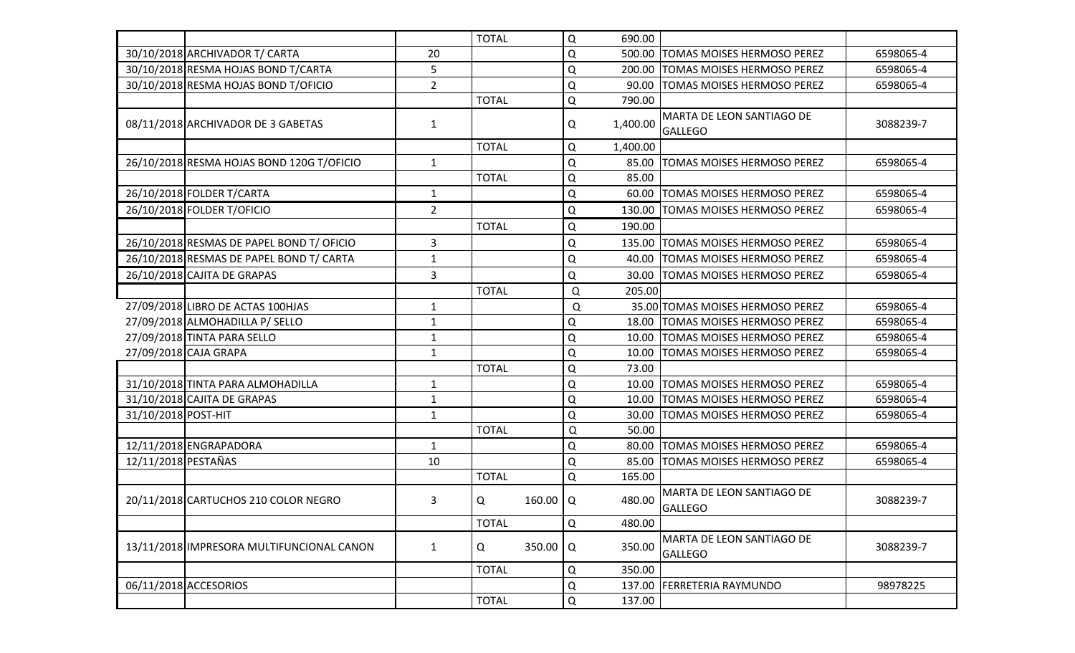|                     |                                           |                | <b>TOTAL</b> |                   | $\Omega$    | 690.00   |                                             |           |
|---------------------|-------------------------------------------|----------------|--------------|-------------------|-------------|----------|---------------------------------------------|-----------|
|                     | 30/10/2018 ARCHIVADOR T/ CARTA            | 20             |              |                   | $\mathsf Q$ | 500.00   | <b>TOMAS MOISES HERMOSO PEREZ</b>           | 6598065-4 |
|                     | 30/10/2018 RESMA HOJAS BOND T/CARTA       | 5              |              |                   | $\Omega$    | 200.00   | <b>TOMAS MOISES HERMOSO PEREZ</b>           | 6598065-4 |
|                     | 30/10/2018 RESMA HOJAS BOND T/OFICIO      | $\overline{2}$ |              |                   | $\Omega$    | 90.00    | <b>TOMAS MOISES HERMOSO PEREZ</b>           | 6598065-4 |
|                     |                                           |                | <b>TOTAL</b> |                   | $\mathsf Q$ | 790.00   |                                             |           |
|                     | 08/11/2018 ARCHIVADOR DE 3 GABETAS        | $\mathbf{1}$   |              |                   | Q           | 1,400.00 | MARTA DE LEON SANTIAGO DE<br><b>GALLEGO</b> | 3088239-7 |
|                     |                                           |                | <b>TOTAL</b> |                   | Q           | 1,400.00 |                                             |           |
|                     | 26/10/2018 RESMA HOJAS BOND 120G T/OFICIO | $\mathbf{1}$   |              |                   | $\Omega$    | 85.00    | TOMAS MOISES HERMOSO PEREZ                  | 6598065-4 |
|                     |                                           |                | <b>TOTAL</b> |                   | Q           | 85.00    |                                             |           |
|                     | 26/10/2018 FOLDER T/CARTA                 | $\mathbf{1}$   |              |                   | $\Omega$    | 60.00    | <b>TOMAS MOISES HERMOSO PEREZ</b>           | 6598065-4 |
|                     | 26/10/2018 FOLDER T/OFICIO                | $\overline{2}$ |              |                   | Q           | 130.00   | <b>TOMAS MOISES HERMOSO PEREZ</b>           | 6598065-4 |
|                     |                                           |                | <b>TOTAL</b> |                   | $\mathsf Q$ | 190.00   |                                             |           |
|                     | 26/10/2018 RESMAS DE PAPEL BOND T/ OFICIO | 3              |              |                   | $\Omega$    | 135.00   | <b>TOMAS MOISES HERMOSO PEREZ</b>           | 6598065-4 |
|                     | 26/10/2018 RESMAS DE PAPEL BOND T/ CARTA  | $\mathbf{1}$   |              |                   | $\mathsf Q$ | 40.00    | <b>TOMAS MOISES HERMOSO PEREZ</b>           | 6598065-4 |
|                     | 26/10/2018 CAJITA DE GRAPAS               | 3              |              |                   | Q           | 30.00    | <b>TOMAS MOISES HERMOSO PEREZ</b>           | 6598065-4 |
|                     |                                           |                | <b>TOTAL</b> |                   | Q           | 205.00   |                                             |           |
|                     | 27/09/2018 LIBRO DE ACTAS 100HJAS         | $\mathbf{1}$   |              |                   | Q           |          | 35.00 TOMAS MOISES HERMOSO PEREZ            | 6598065-4 |
|                     | 27/09/2018 ALMOHADILLA P/ SELLO           | $\mathbf{1}$   |              |                   | Q           | 18.00    | <b>TOMAS MOISES HERMOSO PEREZ</b>           | 6598065-4 |
|                     | 27/09/2018 TINTA PARA SELLO               | $\mathbf{1}$   |              |                   | $\mathsf Q$ | 10.00    | <b>TOMAS MOISES HERMOSO PEREZ</b>           | 6598065-4 |
|                     | 27/09/2018 CAJA GRAPA                     | $\mathbf{1}$   |              |                   | $\mathsf Q$ | 10.00    | <b>TOMAS MOISES HERMOSO PEREZ</b>           | 6598065-4 |
|                     |                                           |                | <b>TOTAL</b> |                   | $\mathsf Q$ | 73.00    |                                             |           |
|                     | 31/10/2018 TINTA PARA ALMOHADILLA         | $\mathbf{1}$   |              |                   | $\mathsf Q$ | 10.00    | <b>TOMAS MOISES HERMOSO PEREZ</b>           | 6598065-4 |
|                     | 31/10/2018 CAJITA DE GRAPAS               | $\mathbf{1}$   |              |                   | $\mathsf Q$ | 10.00    | <b>TOMAS MOISES HERMOSO PEREZ</b>           | 6598065-4 |
| 31/10/2018 POST-HIT |                                           | $\mathbf{1}$   |              |                   | $\Omega$    | 30.00    | TOMAS MOISES HERMOSO PEREZ                  | 6598065-4 |
|                     |                                           |                | <b>TOTAL</b> |                   | $\Omega$    | 50.00    |                                             |           |
|                     | 12/11/2018 ENGRAPADORA                    | $\mathbf{1}$   |              |                   | $\Omega$    | 80.00    | <b>TOMAS MOISES HERMOSO PEREZ</b>           | 6598065-4 |
| 12/11/2018 PESTAÑAS |                                           | 10             |              |                   | Q           | 85.00    | <b>TOMAS MOISES HERMOSO PEREZ</b>           | 6598065-4 |
|                     |                                           |                | <b>TOTAL</b> |                   | $\Omega$    | 165.00   |                                             |           |
|                     | 20/11/2018 CARTUCHOS 210 COLOR NEGRO      | 3              | Q            | 160.00 $\sqrt{Q}$ |             | 480.00   | MARTA DE LEON SANTIAGO DE<br><b>GALLEGO</b> | 3088239-7 |
|                     |                                           |                | <b>TOTAL</b> |                   | Q           | 480.00   |                                             |           |
|                     | 13/11/2018 IMPRESORA MULTIFUNCIONAL CANON | $\mathbf{1}$   | Q            | 350.00   Q        |             | 350.00   | MARTA DE LEON SANTIAGO DE<br><b>GALLEGO</b> | 3088239-7 |
|                     |                                           |                | <b>TOTAL</b> |                   | Q           | 350.00   |                                             |           |
|                     | 06/11/2018 ACCESORIOS                     |                |              |                   | Q           | 137.00   | <b>FERRETERIA RAYMUNDO</b>                  | 98978225  |
|                     |                                           |                | <b>TOTAL</b> |                   | Q           | 137.00   |                                             |           |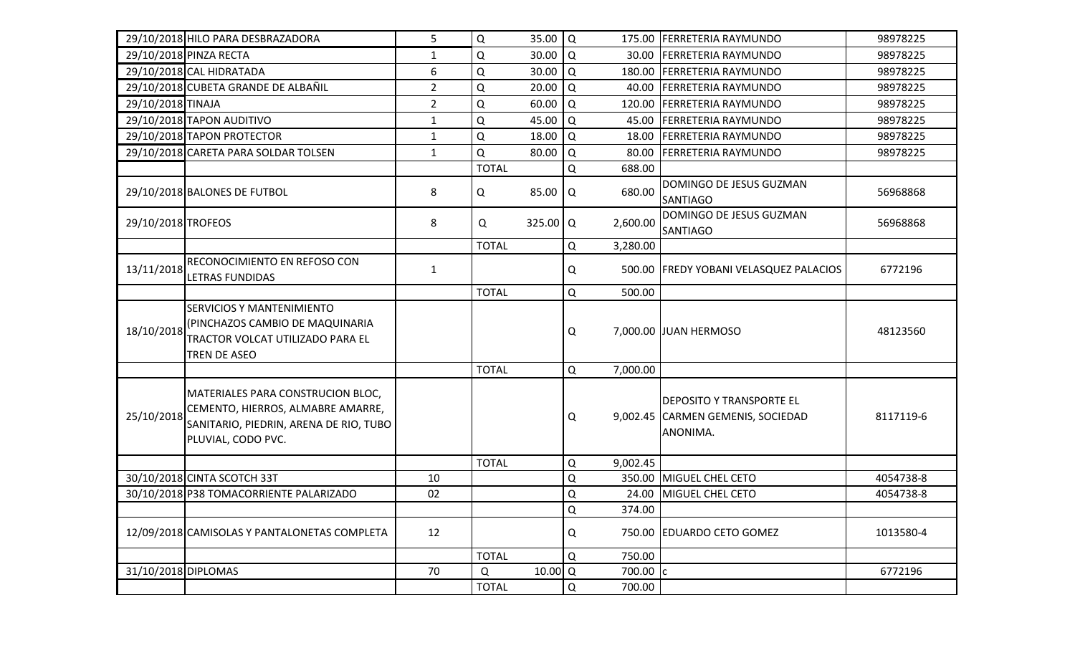|                     | 29/10/2018 HILO PARA DESBRAZADORA                                                                                                      | 5              | Q            | 35.00                | l Q         |          | 175.00 FERRETERIA RAYMUNDO                                                       | 98978225  |
|---------------------|----------------------------------------------------------------------------------------------------------------------------------------|----------------|--------------|----------------------|-------------|----------|----------------------------------------------------------------------------------|-----------|
|                     | 29/10/2018 PINZA RECTA                                                                                                                 | 1              | Q            | 30.00                | Q           | 30.00    | <b>FERRETERIA RAYMUNDO</b>                                                       | 98978225  |
|                     | 29/10/2018 CAL HIDRATADA                                                                                                               | 6              | Q            | 30.00                | Q           |          | 180.00 FERRETERIA RAYMUNDO                                                       | 98978225  |
|                     | 29/10/2018 CUBETA GRANDE DE ALBAÑIL                                                                                                    | $\overline{2}$ | $\mathsf Q$  | 20.00                | Q           |          | 40.00 FERRETERIA RAYMUNDO                                                        | 98978225  |
| 29/10/2018 TINAJA   |                                                                                                                                        | $\overline{2}$ | Q            | 60.00                | Q           |          | 120.00 FERRETERIA RAYMUNDO                                                       | 98978225  |
|                     | 29/10/2018 TAPON AUDITIVO                                                                                                              | $\mathbf{1}$   | Q            | 45.00                | Q           | 45.00    | <b>FERRETERIA RAYMUNDO</b>                                                       | 98978225  |
|                     | 29/10/2018 TAPON PROTECTOR                                                                                                             | $\mathbf{1}$   | Q            | 18.00                | Q           | 18.00    | <b>FERRETERIA RAYMUNDO</b>                                                       | 98978225  |
|                     | 29/10/2018 CARETA PARA SOLDAR TOLSEN                                                                                                   | $\mathbf{1}$   | Q            | 80.00                | Q           | 80.00    | <b>FERRETERIA RAYMUNDO</b>                                                       | 98978225  |
|                     |                                                                                                                                        |                | <b>TOTAL</b> |                      | Q           | 688.00   |                                                                                  |           |
|                     | 29/10/2018 BALONES DE FUTBOL                                                                                                           | 8              | Q            | 85.00                | Q           | 680.00   | DOMINGO DE JESUS GUZMAN<br>SANTIAGO                                              | 56968868  |
| 29/10/2018 TROFEOS  |                                                                                                                                        | 8              | Q            | 325.00   Q           |             | 2,600.00 | DOMINGO DE JESUS GUZMAN<br><b>SANTIAGO</b>                                       | 56968868  |
|                     |                                                                                                                                        |                | <b>TOTAL</b> |                      | Q           | 3,280.00 |                                                                                  |           |
| 13/11/2018          | RECONOCIMIENTO EN REFOSO CON<br><b>LETRAS FUNDIDAS</b>                                                                                 | $\mathbf{1}$   |              |                      | Q           |          | 500.00 FREDY YOBANI VELASQUEZ PALACIOS                                           | 6772196   |
|                     |                                                                                                                                        |                | <b>TOTAL</b> |                      | Q           | 500.00   |                                                                                  |           |
| 18/10/2018          | <b>SERVICIOS Y MANTENIMIENTO</b><br>(PINCHAZOS CAMBIO DE MAQUINARIA<br>TRACTOR VOLCAT UTILIZADO PARA EL<br>TREN DE ASEO                |                |              |                      | Q           |          | 7,000.00 JUAN HERMOSO                                                            | 48123560  |
|                     |                                                                                                                                        |                | <b>TOTAL</b> |                      | Q           | 7,000.00 |                                                                                  |           |
| 25/10/2018          | MATERIALES PARA CONSTRUCION BLOC,<br>CEMENTO, HIERROS, ALMABRE AMARRE,<br>SANITARIO, PIEDRIN, ARENA DE RIO, TUBO<br>PLUVIAL, CODO PVC. |                |              |                      | Q           |          | <b>DEPOSITO Y TRANSPORTE EL</b><br>9,002.45 CARMEN GEMENIS, SOCIEDAD<br>ANONIMA. | 8117119-6 |
|                     |                                                                                                                                        |                | <b>TOTAL</b> |                      | Q           | 9,002.45 |                                                                                  |           |
|                     | 30/10/2018 CINTA SCOTCH 33T                                                                                                            | 10             |              |                      | $\mathsf Q$ |          | 350.00 MIGUEL CHEL CETO                                                          | 4054738-8 |
|                     | 30/10/2018 P38 TOMACORRIENTE PALARIZADO                                                                                                | 02             |              |                      | Q           |          | 24.00 MIGUEL CHEL CETO                                                           | 4054738-8 |
|                     |                                                                                                                                        |                |              |                      | Q           | 374.00   |                                                                                  |           |
|                     | 12/09/2018 CAMISOLAS Y PANTALONETAS COMPLETA                                                                                           | 12             |              |                      | Q           |          | 750.00 EDUARDO CETO GOMEZ                                                        | 1013580-4 |
|                     |                                                                                                                                        |                | <b>TOTAL</b> |                      | Q           | 750.00   |                                                                                  |           |
| 31/10/2018 DIPLOMAS |                                                                                                                                        | 70             | Q            | $10.00$ <sup>O</sup> |             | 700.00   |                                                                                  | 6772196   |
|                     |                                                                                                                                        |                | <b>TOTAL</b> |                      | $\mathsf Q$ | 700.00   |                                                                                  |           |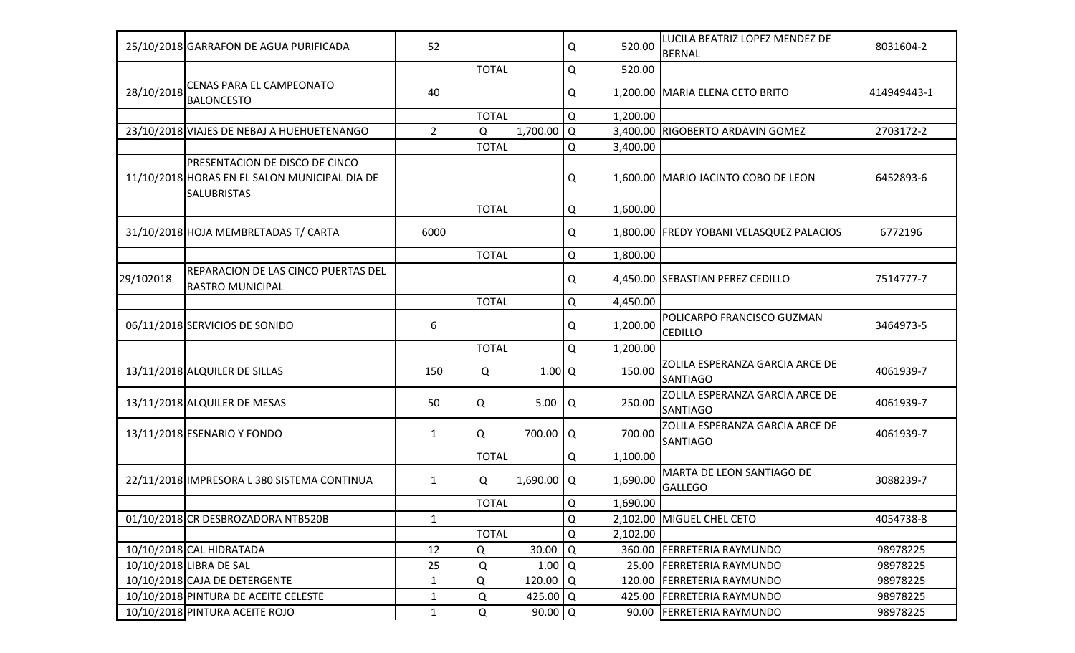|            | 25/10/2018 GARRAFON DE AGUA PURIFICADA                                                                       | 52             |               |                      | Q   | 520.00   | LUCILA BEATRIZ LOPEZ MENDEZ DE<br>BERNAL           | 8031604-2   |
|------------|--------------------------------------------------------------------------------------------------------------|----------------|---------------|----------------------|-----|----------|----------------------------------------------------|-------------|
|            |                                                                                                              |                | <b>TOTAL</b>  |                      | Q   | 520.00   |                                                    |             |
| 28/10/2018 | <b>CENAS PARA EL CAMPEONATO</b><br><b>BALONCESTO</b>                                                         | 40             |               |                      | Q   |          | 1,200.00 MARIA ELENA CETO BRITO                    | 414949443-1 |
|            |                                                                                                              |                | <b>TOTAL</b>  |                      | Q   | 1,200.00 |                                                    |             |
|            | 23/10/2018 VIAJES DE NEBAJ A HUEHUETENANGO                                                                   | $\overline{2}$ | Q             | 1,700.00             | l Q |          | 3,400.00 RIGOBERTO ARDAVIN GOMEZ                   | 2703172-2   |
|            |                                                                                                              |                | <b>TOTAL</b>  |                      | Q   | 3,400.00 |                                                    |             |
|            | <b>PRESENTACION DE DISCO DE CINCO</b><br>11/10/2018 HORAS EN EL SALON MUNICIPAL DIA DE<br><b>SALUBRISTAS</b> |                |               |                      | Q   |          | 1,600.00 MARIO JACINTO COBO DE LEON                | 6452893-6   |
|            |                                                                                                              |                | <b>TOTAL</b>  |                      | Q   | 1,600.00 |                                                    |             |
|            | 31/10/2018 HOJA MEMBRETADAS T/ CARTA                                                                         | 6000           |               |                      | Q   |          | 1,800.00 FREDY YOBANI VELASQUEZ PALACIOS           | 6772196     |
|            |                                                                                                              |                | <b>TOTAL</b>  |                      | Q   | 1,800.00 |                                                    |             |
| 29/102018  | REPARACION DE LAS CINCO PUERTAS DEL<br><b>RASTRO MUNICIPAL</b>                                               |                |               |                      | Q   |          | 4,450.00 SEBASTIAN PEREZ CEDILLO                   | 7514777-7   |
|            |                                                                                                              |                | <b>TOTAL</b>  |                      | Q   | 4,450.00 |                                                    |             |
|            | 06/11/2018 SERVICIOS DE SONIDO                                                                               | 6              |               |                      | Q   | 1,200.00 | POLICARPO FRANCISCO GUZMAN<br><b>CEDILLO</b>       | 3464973-5   |
|            |                                                                                                              |                | <b>TOTAL</b>  |                      | Q   | 1,200.00 |                                                    |             |
|            | 13/11/2018 ALQUILER DE SILLAS                                                                                | 150            | Q             | $1.00$ <sup>O</sup>  |     | 150.00   | ZOLILA ESPERANZA GARCIA ARCE DE<br>SANTIAGO        | 4061939-7   |
|            | 13/11/2018 ALQUILER DE MESAS                                                                                 | 50             | Q             | 5.00                 | Q   | 250.00   | ZOLILA ESPERANZA GARCIA ARCE DE<br><b>SANTIAGO</b> | 4061939-7   |
|            | 13/11/2018 ESENARIO Y FONDO                                                                                  | 1              | Q             | 700.00 Q             |     | 700.00   | ZOLILA ESPERANZA GARCIA ARCE DE<br><b>SANTIAGO</b> | 4061939-7   |
|            |                                                                                                              |                | <b>TOTAL</b>  |                      | Q   | 1,100.00 |                                                    |             |
|            | 22/11/2018 IMPRESORA L 380 SISTEMA CONTINUA                                                                  | $\mathbf{1}$   | Q             | $1,690.00$ Q         |     | 1,690.00 | MARTA DE LEON SANTIAGO DE<br><b>GALLEGO</b>        | 3088239-7   |
|            |                                                                                                              |                | <b>TOTAL</b>  |                      | Q   | 1,690.00 |                                                    |             |
|            | 01/10/2018 CR DESBROZADORA NTB520B                                                                           | $\mathbf{1}$   |               |                      | Q   |          | 2,102.00 MIGUEL CHEL CETO                          | 4054738-8   |
|            |                                                                                                              |                | <b>TOTAL</b>  |                      | Q   | 2,102.00 |                                                    |             |
|            | 10/10/2018 CAL HIDRATADA                                                                                     | 12             | Q             | 30.00                | Q   |          | 360.00 FERRETERIA RAYMUNDO                         | 98978225    |
|            | 10/10/2018 LIBRA DE SAL                                                                                      | 25             | Q             | 1.00                 | Q   | 25.00    | <b>FERRETERIA RAYMUNDO</b>                         | 98978225    |
|            | 10/10/2018 CAJA DE DETERGENTE                                                                                | $\mathbf{1}$   | Q             | 120.00               | I۹  |          | 120.00 FERRETERIA RAYMUNDO                         | 98978225    |
|            | 10/10/2018 PINTURA DE ACEITE CELESTE                                                                         | $\mathbf{1}$   | Q             | 425.00 Q             |     | 425.00   | <b>FERRETERIA RAYMUNDO</b>                         | 98978225    |
|            | 10/10/2018 PINTURA ACEITE ROJO                                                                               | $\mathbf{1}$   | ${\mathsf Q}$ | $90.00$ <sup>O</sup> |     | 90.00    | <b>FERRETERIA RAYMUNDO</b>                         | 98978225    |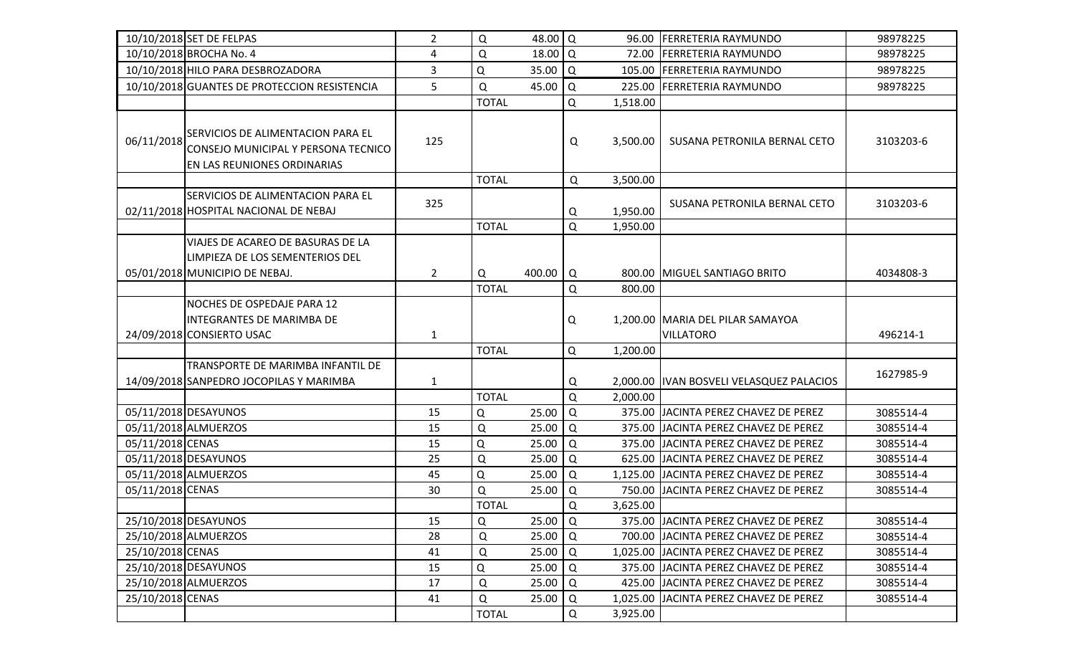|                  | 10/10/2018 SET DE FELPAS                                                                                | $\overline{2}$ | Q            | 48.00 Q              |          |          | 96.00 FERRETERIA RAYMUNDO                            | 98978225  |
|------------------|---------------------------------------------------------------------------------------------------------|----------------|--------------|----------------------|----------|----------|------------------------------------------------------|-----------|
|                  | 10/10/2018 BROCHA No. 4                                                                                 | 4              | Q            | $18.00$ <sup>O</sup> |          |          | 72.00 FERRETERIA RAYMUNDO                            | 98978225  |
|                  | 10/10/2018 HILO PARA DESBROZADORA                                                                       | 3              | Q            | 35.00                | l Q      |          | 105.00 FERRETERIA RAYMUNDO                           | 98978225  |
|                  | 10/10/2018 GUANTES DE PROTECCION RESISTENCIA                                                            | 5              | Q            | 45.00                | ١Q       |          | 225.00 FERRETERIA RAYMUNDO                           | 98978225  |
|                  |                                                                                                         |                | <b>TOTAL</b> |                      | Q        | 1,518.00 |                                                      |           |
| 06/11/2018       | SERVICIOS DE ALIMENTACION PARA EL<br>CONSEJO MUNICIPAL Y PERSONA TECNICO<br>EN LAS REUNIONES ORDINARIAS | 125            |              |                      | Q        | 3,500.00 | SUSANA PETRONILA BERNAL CETO                         | 3103203-6 |
|                  |                                                                                                         |                | <b>TOTAL</b> |                      | Q        | 3,500.00 |                                                      |           |
|                  | SERVICIOS DE ALIMENTACION PARA EL<br>02/11/2018 HOSPITAL NACIONAL DE NEBAJ                              | 325            |              |                      | Q        | 1,950.00 | SUSANA PETRONILA BERNAL CETO                         | 3103203-6 |
|                  | VIAJES DE ACAREO DE BASURAS DE LA                                                                       |                | <b>TOTAL</b> |                      | Q        | 1,950.00 |                                                      |           |
|                  | LIMPIEZA DE LOS SEMENTERIOS DEL<br>05/01/2018 MUNICIPIO DE NEBAJ.                                       | $\overline{2}$ | Q            | 400.00               | Q        |          | 800.00 MIGUEL SANTIAGO BRITO                         | 4034808-3 |
|                  |                                                                                                         |                | <b>TOTAL</b> |                      | Q        | 800.00   |                                                      |           |
|                  | NOCHES DE OSPEDAJE PARA 12                                                                              |                |              |                      |          |          |                                                      |           |
|                  | <b>INTEGRANTES DE MARIMBA DE</b><br>24/09/2018 CONSIERTO USAC                                           | $\mathbf{1}$   |              |                      | Q        |          | 1,200.00 MARIA DEL PILAR SAMAYOA<br><b>VILLATORO</b> | 496214-1  |
|                  |                                                                                                         |                | <b>TOTAL</b> |                      | Q        | 1,200.00 |                                                      |           |
|                  | TRANSPORTE DE MARIMBA INFANTIL DE                                                                       |                |              |                      |          |          |                                                      |           |
|                  | 14/09/2018 SANPEDRO JOCOPILAS Y MARIMBA                                                                 | $\mathbf{1}$   |              |                      | Q        |          | 2,000.00  IVAN BOSVELI VELASQUEZ PALACIOS            | 1627985-9 |
|                  |                                                                                                         |                | <b>TOTAL</b> |                      | Q        | 2,000.00 |                                                      |           |
|                  | 05/11/2018 DESAYUNOS                                                                                    | 15             | Q            | 25.00                | $\Omega$ |          | 375.00 JJACINTA PEREZ CHAVEZ DE PEREZ                | 3085514-4 |
|                  | 05/11/2018 ALMUERZOS                                                                                    | 15             | $\mathsf Q$  | 25.00                | Q        |          | 375.00 JACINTA PEREZ CHAVEZ DE PEREZ                 | 3085514-4 |
| 05/11/2018 CENAS |                                                                                                         | 15             | Q            | 25.00                | Q        |          | 375.00 JJACINTA PEREZ CHAVEZ DE PEREZ                | 3085514-4 |
|                  | 05/11/2018 DESAYUNOS                                                                                    | 25             | $\mathsf Q$  | 25.00                | Q        |          | 625.00 JACINTA PEREZ CHAVEZ DE PEREZ                 | 3085514-4 |
|                  | 05/11/2018 ALMUERZOS                                                                                    | 45             | Q            | 25.00                | Q        |          | 1,125.00 JACINTA PEREZ CHAVEZ DE PEREZ               | 3085514-4 |
| 05/11/2018 CENAS |                                                                                                         | 30             | ${\sf Q}$    | 25.00                | Q        |          | 750.00 JJACINTA PEREZ CHAVEZ DE PEREZ                | 3085514-4 |
|                  |                                                                                                         |                | <b>TOTAL</b> |                      | Q        | 3,625.00 |                                                      |           |
|                  | 25/10/2018 DESAYUNOS                                                                                    | 15             | Q            | 25.00   Q            |          |          | 375.00 JJACINTA PEREZ CHAVEZ DE PEREZ                | 3085514-4 |
|                  | 25/10/2018 ALMUERZOS                                                                                    | 28             | Q            | 25.00                | Q        |          | 700.00 JJACINTA PEREZ CHAVEZ DE PEREZ                | 3085514-4 |
| 25/10/2018 CENAS |                                                                                                         | 41             | Q            | 25.00                | l Q      |          | 1,025.00 JJACINTA PEREZ CHAVEZ DE PEREZ              | 3085514-4 |
|                  | 25/10/2018 DESAYUNOS                                                                                    | 15             | Q            | 25.00                | Q        |          | 375.00 JJACINTA PEREZ CHAVEZ DE PEREZ                | 3085514-4 |
|                  | 25/10/2018 ALMUERZOS                                                                                    | 17             | Q            | 25.00                | Q        |          | 425.00 JACINTA PEREZ CHAVEZ DE PEREZ                 | 3085514-4 |
| 25/10/2018 CENAS |                                                                                                         | 41             | Q            | 25.00                | Q        |          | 1,025.00 JJACINTA PEREZ CHAVEZ DE PEREZ              | 3085514-4 |
|                  |                                                                                                         |                | <b>TOTAL</b> |                      | Q        | 3,925.00 |                                                      |           |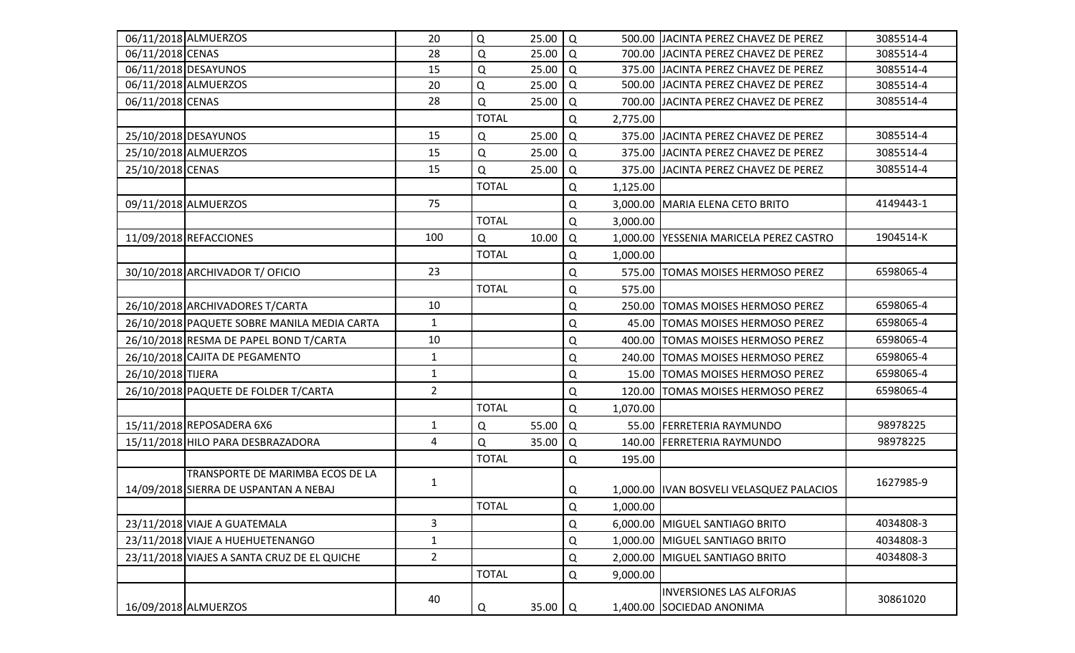|                   | 06/11/2018 ALMUERZOS                        | 20             | Q            | 25.00       | l Q         |          | 500.00 JJACINTA PEREZ CHAVEZ DE PEREZ     | 3085514-4 |
|-------------------|---------------------------------------------|----------------|--------------|-------------|-------------|----------|-------------------------------------------|-----------|
| 06/11/2018 CENAS  |                                             | 28             | Q            | 25.00       | l Q         |          | 700.00 JJACINTA PEREZ CHAVEZ DE PEREZ     | 3085514-4 |
|                   | 06/11/2018 DESAYUNOS                        | 15             | $\mathsf Q$  | 25.00       | Q           |          | 375.00 JJACINTA PEREZ CHAVEZ DE PEREZ     | 3085514-4 |
|                   | 06/11/2018 ALMUERZOS                        | 20             | $\mathsf Q$  | 25.00       | Q           |          | 500.00 JACINTA PEREZ CHAVEZ DE PEREZ      | 3085514-4 |
| 06/11/2018 CENAS  |                                             | 28             | $\Omega$     | 25.00       | Q           |          | 700.00 JJACINTA PEREZ CHAVEZ DE PEREZ     | 3085514-4 |
|                   |                                             |                | <b>TOTAL</b> |             | Q           | 2,775.00 |                                           |           |
|                   | 25/10/2018 DESAYUNOS                        | 15             | Q            | 25.00       | Q           |          | 375.00 JJACINTA PEREZ CHAVEZ DE PEREZ     | 3085514-4 |
|                   | 25/10/2018 ALMUERZOS                        | 15             | $\mathsf Q$  | 25.00       | Q           |          | 375.00 JACINTA PEREZ CHAVEZ DE PEREZ      | 3085514-4 |
| 25/10/2018 CENAS  |                                             | 15             | $\Omega$     | 25.00       | Q           |          | 375.00 JJACINTA PEREZ CHAVEZ DE PEREZ     | 3085514-4 |
|                   |                                             |                | <b>TOTAL</b> |             | Q           | 1,125.00 |                                           |           |
|                   | 09/11/2018 ALMUERZOS                        | 75             |              |             | $\mathsf Q$ |          | 3,000.00 MARIA ELENA CETO BRITO           | 4149443-1 |
|                   |                                             |                | <b>TOTAL</b> |             | Q           | 3,000.00 |                                           |           |
|                   | 11/09/2018 REFACCIONES                      | 100            | Q            | 10.00       | Q           |          | 1,000.00 YESSENIA MARICELA PEREZ CASTRO   | 1904514-K |
|                   |                                             |                | <b>TOTAL</b> |             | Q           | 1,000.00 |                                           |           |
|                   | 30/10/2018 ARCHIVADOR T/ OFICIO             | 23             |              |             | Q           |          | 575.00 TOMAS MOISES HERMOSO PEREZ         | 6598065-4 |
|                   |                                             |                | <b>TOTAL</b> |             | Q           | 575.00   |                                           |           |
|                   | 26/10/2018 ARCHIVADORES T/CARTA             | 10             |              |             | Q           |          | 250.00 TOMAS MOISES HERMOSO PEREZ         | 6598065-4 |
|                   | 26/10/2018 PAQUETE SOBRE MANILA MEDIA CARTA | $\mathbf{1}$   |              |             | Q           |          | 45.00 TOMAS MOISES HERMOSO PEREZ          | 6598065-4 |
|                   | 26/10/2018 RESMA DE PAPEL BOND T/CARTA      | 10             |              |             | Q           |          | 400.00 TOMAS MOISES HERMOSO PEREZ         | 6598065-4 |
|                   | 26/10/2018 CAJITA DE PEGAMENTO              | $\mathbf{1}$   |              |             | Q           |          | 240.00 TOMAS MOISES HERMOSO PEREZ         | 6598065-4 |
| 26/10/2018 TIJERA |                                             | $\mathbf{1}$   |              |             | Q           |          | 15.00 TOMAS MOISES HERMOSO PEREZ          | 6598065-4 |
|                   | 26/10/2018 PAQUETE DE FOLDER T/CARTA        | $\overline{2}$ |              |             | Q           |          | 120.00 TOMAS MOISES HERMOSO PEREZ         | 6598065-4 |
|                   |                                             |                | <b>TOTAL</b> |             | Q           | 1,070.00 |                                           |           |
|                   | 15/11/2018 REPOSADERA 6X6                   | $\mathbf{1}$   | Q            | 55.00       | $\Omega$    |          | 55.00 FERRETERIA RAYMUNDO                 | 98978225  |
|                   | 15/11/2018 HILO PARA DESBRAZADORA           | 4              | Q            | 35.00       | Q           |          | 140.00 FERRETERIA RAYMUNDO                | 98978225  |
|                   |                                             |                | <b>TOTAL</b> |             | Q           | 195.00   |                                           |           |
|                   | TRANSPORTE DE MARIMBA ECOS DE LA            | $\mathbf{1}$   |              |             |             |          |                                           | 1627985-9 |
|                   | 14/09/2018 SIERRA DE USPANTAN A NEBAJ       |                |              |             | Q           |          | 1,000.00  IVAN BOSVELI VELASQUEZ PALACIOS |           |
|                   |                                             |                | <b>TOTAL</b> |             | ${\sf Q}$   | 1,000.00 |                                           |           |
|                   | 23/11/2018 VIAJE A GUATEMALA                | 3              |              |             | Q           |          | 6,000.00 MIGUEL SANTIAGO BRITO            | 4034808-3 |
|                   | 23/11/2018 VIAJE A HUEHUETENANGO            | $\mathbf{1}$   |              |             | Q           |          | 1,000.00 MIGUEL SANTIAGO BRITO            | 4034808-3 |
|                   | 23/11/2018 VIAJES A SANTA CRUZ DE EL QUICHE | $\overline{2}$ |              |             | Q           |          | 2,000.00 MIGUEL SANTIAGO BRITO            | 4034808-3 |
|                   |                                             |                | <b>TOTAL</b> |             | Q           | 9,000.00 |                                           |           |
|                   |                                             | 40             |              |             |             |          | <b>INVERSIONES LAS ALFORJAS</b>           | 30861020  |
|                   | 16/09/2018 ALMUERZOS                        |                | Q            | 35.00 $ Q $ |             |          | 1,400.00 SOCIEDAD ANONIMA                 |           |